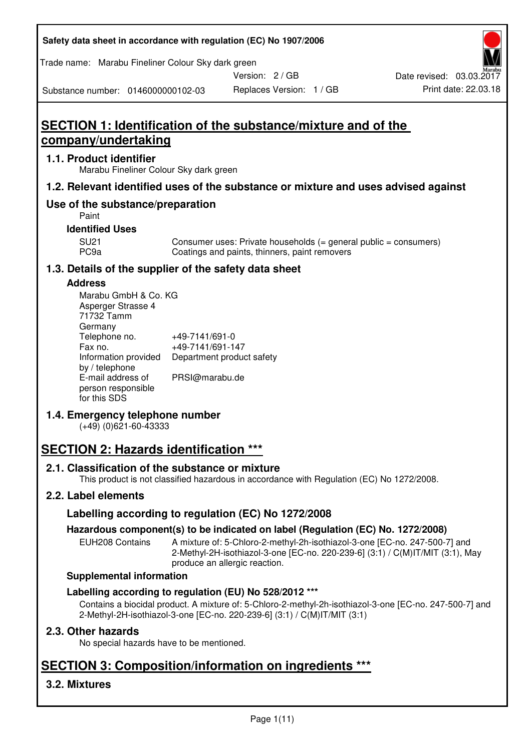| Safety data sheet in accordance with regulation (EC) No 1907/2006 |  |
|-------------------------------------------------------------------|--|
|-------------------------------------------------------------------|--|

Trade name: Marabu Fineliner Colour Sky dark green

Version: 2 / GB

Substance number: 0146000000102-03

# **SECTION 1: Identification of the substance/mixture and of the company/undertaking**

#### **1.1. Product identifier**

Marabu Fineliner Colour Sky dark green

#### **1.2. Relevant identified uses of the substance or mixture and uses advised against**

### **Use of the substance/preparation**

Paint

#### **Identified Uses**

SU21 Consumer uses: Private households (= general public = consumers)<br>PC9a Coatings and paints, thinners, paint removers Coatings and paints, thinners, paint removers

#### **1.3. Details of the supplier of the safety data sheet**

#### **Address**

| Marabu GmbH & Co. KG |                           |
|----------------------|---------------------------|
| Asperger Strasse 4   |                           |
| 71732 Tamm           |                           |
| Germany              |                           |
| Telephone no.        | +49-7141/691-0            |
| Fax no.              | +49-7141/691-147          |
| Information provided | Department product safety |
| by / telephone       |                           |
| E-mail address of    | PRSI@marabu.de            |
| person responsible   |                           |
| for this SDS         |                           |

#### **1.4. Emergency telephone number**

(+49) (0)621-60-43333

# **SECTION 2: Hazards identification \*\*\***

#### **2.1. Classification of the substance or mixture**

This product is not classified hazardous in accordance with Regulation (EC) No 1272/2008.

## **2.2. Label elements**

#### **Labelling according to regulation (EC) No 1272/2008**

#### **Hazardous component(s) to be indicated on label (Regulation (EC) No. 1272/2008)**

EUH208 Contains A mixture of: 5-Chloro-2-methyl-2h-isothiazol-3-one [EC-no. 247-500-7] and 2-Methyl-2H-isothiazol-3-one [EC-no. 220-239-6] (3:1) / C(M)IT/MIT (3:1), May produce an allergic reaction.

#### **Supplemental information**

#### **Labelling according to regulation (EU) No 528/2012 \*\*\***

Contains a biocidal product. A mixture of: 5-Chloro-2-methyl-2h-isothiazol-3-one [EC-no. 247-500-7] and 2-Methyl-2H-isothiazol-3-one [EC-no. 220-239-6] (3:1) / C(M)IT/MIT (3:1)

#### **2.3. Other hazards**

No special hazards have to be mentioned.

# **SECTION 3: Composition/information on ingredients \*\*\***

## **3.2. Mixtures**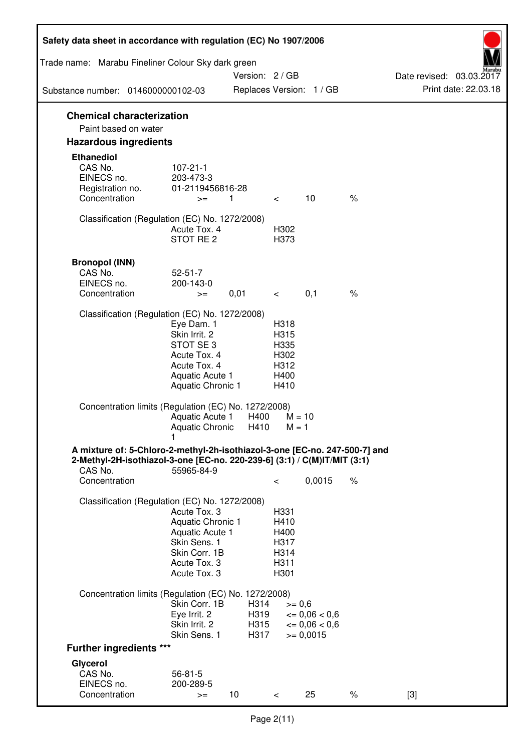| Safety data sheet in accordance with regulation (EC) No 1907/2006                                                                                                 |                                                                                                                       |                      |                                                      |                                              |      |                          |
|-------------------------------------------------------------------------------------------------------------------------------------------------------------------|-----------------------------------------------------------------------------------------------------------------------|----------------------|------------------------------------------------------|----------------------------------------------|------|--------------------------|
| Trade name: Marabu Fineliner Colour Sky dark green                                                                                                                |                                                                                                                       | Version: 2 / GB      |                                                      |                                              |      | Date revised: 03.03.2017 |
| Substance number: 0146000000102-03                                                                                                                                |                                                                                                                       |                      |                                                      | Replaces Version: 1 / GB                     |      | Print date: 22.03.18     |
| <b>Chemical characterization</b><br>Paint based on water                                                                                                          |                                                                                                                       |                      |                                                      |                                              |      |                          |
| <b>Hazardous ingredients</b>                                                                                                                                      |                                                                                                                       |                      |                                                      |                                              |      |                          |
| <b>Ethanediol</b><br>CAS No.<br>EINECS no.<br>Registration no.<br>Concentration                                                                                   | $107 - 21 - 1$<br>203-473-3<br>01-2119456816-28<br>$>=$                                                               | $\overline{1}$       | $\lt$                                                | 10                                           | $\%$ |                          |
| Classification (Regulation (EC) No. 1272/2008)                                                                                                                    | Acute Tox, 4<br>STOT RE <sub>2</sub>                                                                                  |                      | H302<br>H373                                         |                                              |      |                          |
| <b>Bronopol (INN)</b><br>CAS No.<br>EINECS no.<br>Concentration                                                                                                   | $52 - 51 - 7$<br>200-143-0<br>$>=$                                                                                    | 0,01                 | $\lt$                                                | 0,1                                          | $\%$ |                          |
| Classification (Regulation (EC) No. 1272/2008)                                                                                                                    | Eye Dam. 1<br>Skin Irrit. 2<br>STOT SE3<br>Acute Tox. 4<br>Acute Tox. 4<br>Aquatic Acute 1<br>Aquatic Chronic 1       |                      | H318<br>H315<br>H335<br>H302<br>H312<br>H400<br>H410 |                                              |      |                          |
| Concentration limits (Regulation (EC) No. 1272/2008)                                                                                                              | Aquatic Acute 1<br>Aquatic Chronic                                                                                    | H400<br>H410         | $M = 1$                                              | $M = 10$                                     |      |                          |
| A mixture of: 5-Chloro-2-methyl-2h-isothiazol-3-one [EC-no. 247-500-7] and<br>2-Methyl-2H-isothiazol-3-one [EC-no. 220-239-6] (3:1) / C(M)IT/MIT (3:1)<br>CAS No. | 55965-84-9                                                                                                            |                      |                                                      |                                              |      |                          |
| Concentration                                                                                                                                                     |                                                                                                                       |                      | $\,<\,$                                              | 0,0015                                       | $\%$ |                          |
| Classification (Regulation (EC) No. 1272/2008)                                                                                                                    | Acute Tox. 3<br>Aquatic Chronic 1<br>Aquatic Acute 1<br>Skin Sens. 1<br>Skin Corr. 1B<br>Acute Tox. 3<br>Acute Tox. 3 |                      | H331<br>H410<br>H400<br>H317<br>H314<br>H311<br>H301 |                                              |      |                          |
| Concentration limits (Regulation (EC) No. 1272/2008)                                                                                                              | Skin Corr. 1B<br>Eye Irrit. 2<br>Skin Irrit. 2                                                                        | H314<br>H319<br>H315 | $>= 0,6$                                             | $\epsilon = 0.06 < 0.6$<br>$\leq 0.06 < 0.6$ |      |                          |
| <b>Further ingredients ***</b>                                                                                                                                    | Skin Sens. 1                                                                                                          | H317                 |                                                      | $>= 0,0015$                                  |      |                          |
| Glycerol                                                                                                                                                          |                                                                                                                       |                      |                                                      |                                              |      |                          |
| CAS No.<br>EINECS no.<br>Concentration                                                                                                                            | $56 - 81 - 5$<br>200-289-5<br>$>=$                                                                                    | 10                   | $\lt$                                                | 25                                           | $\%$ | $[3]$                    |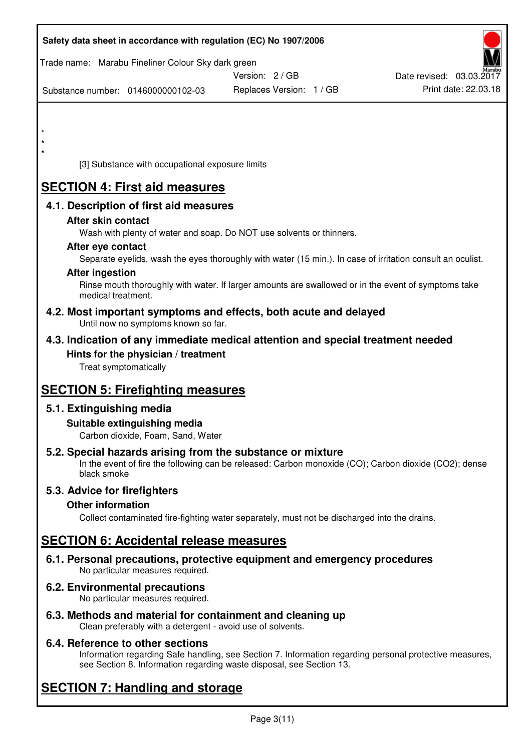| Safety data sheet in accordance with regulation (EC) No 1907/2006                                                         |                          |                          |
|---------------------------------------------------------------------------------------------------------------------------|--------------------------|--------------------------|
| Trade name: Marabu Fineliner Colour Sky dark green                                                                        | Version: 2 / GB          | Date revised: 03.03.2017 |
| Substance number: 0146000000102-03                                                                                        | Replaces Version: 1 / GB | Print date: 22.03.18     |
|                                                                                                                           |                          |                          |
| $\star$                                                                                                                   |                          |                          |
|                                                                                                                           |                          |                          |
| [3] Substance with occupational exposure limits                                                                           |                          |                          |
| <b>SECTION 4: First aid measures</b>                                                                                      |                          |                          |
| 4.1. Description of first aid measures                                                                                    |                          |                          |
| After skin contact                                                                                                        |                          |                          |
| Wash with plenty of water and soap. Do NOT use solvents or thinners.<br>After eye contact                                 |                          |                          |
| Separate eyelids, wash the eyes thoroughly with water (15 min.). In case of irritation consult an oculist.                |                          |                          |
| <b>After ingestion</b>                                                                                                    |                          |                          |
| Rinse mouth thoroughly with water. If larger amounts are swallowed or in the event of symptoms take<br>medical treatment. |                          |                          |
| 4.2. Most important symptoms and effects, both acute and delayed<br>Until now no symptoms known so far.                   |                          |                          |
| 4.3. Indication of any immediate medical attention and special treatment needed                                           |                          |                          |
| Hints for the physician / treatment                                                                                       |                          |                          |
| Treat symptomatically                                                                                                     |                          |                          |
| <b>SECTION 5: Firefighting measures</b>                                                                                   |                          |                          |
| 5.1. Extinguishing media                                                                                                  |                          |                          |
| Suitable extinguishing media<br>Carbon dioxide, Foam, Sand, Water                                                         |                          |                          |
| 5.2. Special hazards arising from the substance or mixture                                                                |                          |                          |
| In the event of fire the following can be released: Carbon monoxide (CO); Carbon dioxide (CO2); dense<br>black smoke      |                          |                          |
| 5.3. Advice for firefighters                                                                                              |                          |                          |
| <b>Other information</b><br>Collect contaminated fire-fighting water separately, must not be discharged into the drains.  |                          |                          |
|                                                                                                                           |                          |                          |
| <b>SECTION 6: Accidental release measures</b>                                                                             |                          |                          |
| 6.1. Personal precautions, protective equipment and emergency procedures<br>No particular measures required.              |                          |                          |
| 6.2. Environmental precautions<br>No particular measures required.                                                        |                          |                          |
| 6.3. Methods and material for containment and cleaning up                                                                 |                          |                          |

Clean preferably with a detergent - avoid use of solvents.

## **6.4. Reference to other sections**

Information regarding Safe handling, see Section 7. Information regarding personal protective measures, see Section 8. Information regarding waste disposal, see Section 13.

# **SECTION 7: Handling and storage**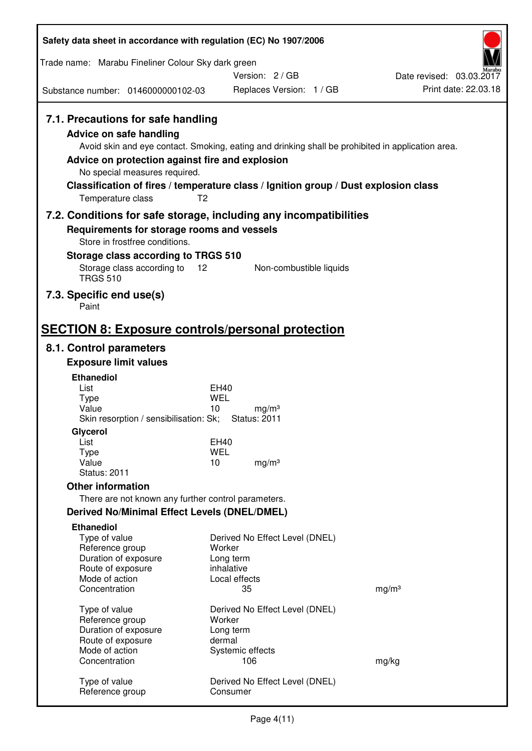| Safety data sheet in accordance with regulation (EC) No 1907/2006                                                                                        |                                                                                                       |                          |
|----------------------------------------------------------------------------------------------------------------------------------------------------------|-------------------------------------------------------------------------------------------------------|--------------------------|
| Trade name: Marabu Fineliner Colour Sky dark green                                                                                                       |                                                                                                       |                          |
|                                                                                                                                                          | Version: 2/GB                                                                                         | Date revised: 03.03.2017 |
| Substance number: 0146000000102-03                                                                                                                       | Replaces Version: 1 / GB                                                                              | Print date: 22.03.18     |
| 7.1. Precautions for safe handling<br><b>Advice on safe handling</b><br>Advice on protection against fire and explosion<br>No special measures required. | Avoid skin and eye contact. Smoking, eating and drinking shall be prohibited in application area.     |                          |
| Temperature class                                                                                                                                        | Classification of fires / temperature class / Ignition group / Dust explosion class<br>T <sub>2</sub> |                          |
| Requirements for storage rooms and vessels<br>Store in frostfree conditions.<br>Storage class according to TRGS 510                                      | 7.2. Conditions for safe storage, including any incompatibilities                                     |                          |
| Storage class according to<br><b>TRGS 510</b>                                                                                                            | Non-combustible liquids<br>12                                                                         |                          |
| 7.3. Specific end use(s)<br>Paint                                                                                                                        |                                                                                                       |                          |
| <b>SECTION 8: Exposure controls/personal protection</b>                                                                                                  |                                                                                                       |                          |
| 8.1. Control parameters                                                                                                                                  |                                                                                                       |                          |
| <b>Exposure limit values</b>                                                                                                                             |                                                                                                       |                          |
| <b>Ethanediol</b><br>List<br><b>Type</b><br>Value<br>Skin resorption / sensibilisation: Sk;<br>Glycerol<br>List                                          | EH40<br>WEL<br>10<br>mg/m <sup>3</sup><br><b>Status: 2011</b><br><b>EH40</b>                          |                          |
| Type<br>Value<br><b>Status: 2011</b>                                                                                                                     | <b>WEL</b><br>10<br>mg/m <sup>3</sup>                                                                 |                          |
| <b>Other information</b>                                                                                                                                 |                                                                                                       |                          |
| There are not known any further control parameters.                                                                                                      |                                                                                                       |                          |
| <b>Derived No/Minimal Effect Levels (DNEL/DMEL)</b>                                                                                                      |                                                                                                       |                          |
| <b>Ethanediol</b><br>Type of value<br>Reference group<br>Duration of exposure<br>Route of exposure<br>Mode of action<br>Concentration                    | Derived No Effect Level (DNEL)<br>Worker<br>Long term<br>inhalative<br>Local effects<br>35            | mg/m <sup>3</sup>        |
| Type of value<br>Reference group<br>Duration of exposure<br>Route of exposure<br>Mode of action                                                          | Derived No Effect Level (DNEL)<br>Worker<br>Long term<br>dermal<br>Systemic effects                   |                          |
| Concentration                                                                                                                                            | 106                                                                                                   | mg/kg                    |
| Type of value<br>Reference group                                                                                                                         | Derived No Effect Level (DNEL)<br>Consumer                                                            |                          |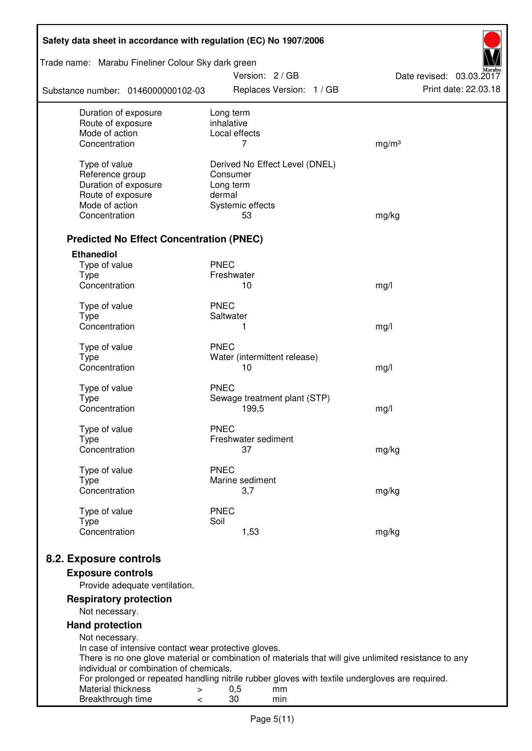| Safety data sheet in accordance with regulation (EC) No 1907/2006    |                                                                                                       |                          |  |  |  |
|----------------------------------------------------------------------|-------------------------------------------------------------------------------------------------------|--------------------------|--|--|--|
| Trade name: Marabu Fineliner Colour Sky dark green                   | Version: 2/GB                                                                                         | Date revised: 03.03.2017 |  |  |  |
| Substance number: 0146000000102-03                                   | Replaces Version: 1 / GB                                                                              | Print date: 22.03.18     |  |  |  |
| Duration of exposure                                                 | Long term                                                                                             |                          |  |  |  |
| Route of exposure<br>Mode of action                                  | inhalative<br>Local effects                                                                           |                          |  |  |  |
| Concentration                                                        | 7                                                                                                     | mg/m <sup>3</sup>        |  |  |  |
|                                                                      |                                                                                                       |                          |  |  |  |
| Type of value<br>Reference group                                     | Derived No Effect Level (DNEL)<br>Consumer                                                            |                          |  |  |  |
| Duration of exposure                                                 | Long term                                                                                             |                          |  |  |  |
| Route of exposure                                                    | dermal                                                                                                |                          |  |  |  |
| Mode of action                                                       | Systemic effects                                                                                      |                          |  |  |  |
| Concentration                                                        | 53                                                                                                    | mg/kg                    |  |  |  |
|                                                                      |                                                                                                       |                          |  |  |  |
| <b>Predicted No Effect Concentration (PNEC)</b><br><b>Ethanediol</b> |                                                                                                       |                          |  |  |  |
| Type of value                                                        | <b>PNEC</b>                                                                                           |                          |  |  |  |
| <b>Type</b>                                                          | Freshwater                                                                                            |                          |  |  |  |
| Concentration                                                        | 10                                                                                                    | mg/l                     |  |  |  |
|                                                                      |                                                                                                       |                          |  |  |  |
| Type of value<br><b>Type</b>                                         | <b>PNEC</b><br>Saltwater                                                                              |                          |  |  |  |
| Concentration                                                        | 1                                                                                                     | mg/l                     |  |  |  |
|                                                                      |                                                                                                       |                          |  |  |  |
| Type of value                                                        | <b>PNEC</b>                                                                                           |                          |  |  |  |
| <b>Type</b>                                                          | Water (intermittent release)                                                                          |                          |  |  |  |
| Concentration                                                        | 10                                                                                                    | mg/l                     |  |  |  |
| Type of value                                                        | <b>PNEC</b>                                                                                           |                          |  |  |  |
| <b>Type</b>                                                          | Sewage treatment plant (STP)                                                                          |                          |  |  |  |
| Concentration                                                        | 199,5                                                                                                 | mg/l                     |  |  |  |
| Type of value                                                        | <b>PNEC</b>                                                                                           |                          |  |  |  |
| Type                                                                 | Freshwater sediment                                                                                   |                          |  |  |  |
| Concentration                                                        | 37                                                                                                    | mg/kg                    |  |  |  |
| Type of value                                                        | <b>PNEC</b>                                                                                           |                          |  |  |  |
| <b>Type</b>                                                          | Marine sediment                                                                                       |                          |  |  |  |
| Concentration                                                        | 3,7                                                                                                   | mg/kg                    |  |  |  |
| Type of value                                                        | <b>PNEC</b>                                                                                           |                          |  |  |  |
| <b>Type</b>                                                          | Soil                                                                                                  |                          |  |  |  |
| Concentration                                                        | 1,53                                                                                                  | mg/kg                    |  |  |  |
|                                                                      |                                                                                                       |                          |  |  |  |
| 8.2. Exposure controls                                               |                                                                                                       |                          |  |  |  |
| <b>Exposure controls</b><br>Provide adequate ventilation.            |                                                                                                       |                          |  |  |  |
| <b>Respiratory protection</b>                                        |                                                                                                       |                          |  |  |  |
| Not necessary.                                                       |                                                                                                       |                          |  |  |  |
| <b>Hand protection</b>                                               |                                                                                                       |                          |  |  |  |
| Not necessary.                                                       |                                                                                                       |                          |  |  |  |
| In case of intensive contact wear protective gloves.                 |                                                                                                       |                          |  |  |  |
| individual or combination of chemicals.                              | There is no one glove material or combination of materials that will give unlimited resistance to any |                          |  |  |  |
|                                                                      | For prolonged or repeated handling nitrile rubber gloves with textile undergloves are required.       |                          |  |  |  |
| Material thickness<br>>                                              | 0,5<br>mm                                                                                             |                          |  |  |  |
| Breakthrough time<br><                                               | 30<br>min                                                                                             |                          |  |  |  |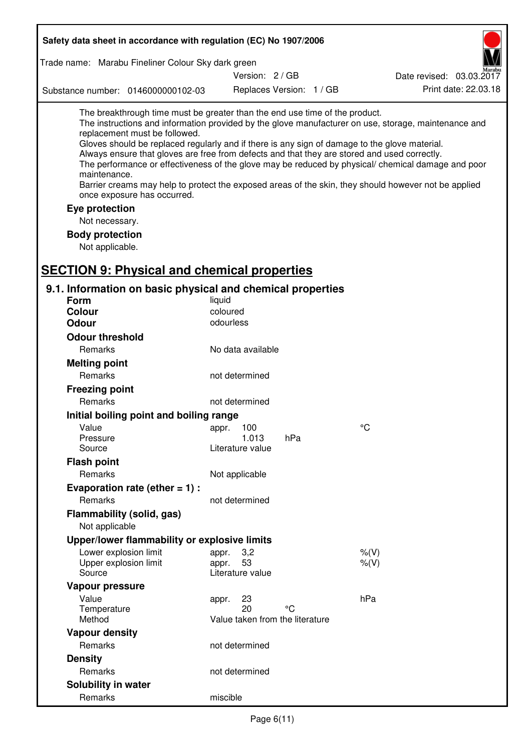| Safety data sheet in accordance with regulation (EC) No 1907/2006                                                                                                                                                                                                                                                                                            |                                 |                 |                          |                                                                                                                                                                                                                                                                                                                    |
|--------------------------------------------------------------------------------------------------------------------------------------------------------------------------------------------------------------------------------------------------------------------------------------------------------------------------------------------------------------|---------------------------------|-----------------|--------------------------|--------------------------------------------------------------------------------------------------------------------------------------------------------------------------------------------------------------------------------------------------------------------------------------------------------------------|
| Trade name: Marabu Fineliner Colour Sky dark green                                                                                                                                                                                                                                                                                                           |                                 |                 |                          |                                                                                                                                                                                                                                                                                                                    |
|                                                                                                                                                                                                                                                                                                                                                              |                                 | Version: 2 / GB |                          | Date revised: 03.03.2017                                                                                                                                                                                                                                                                                           |
| Substance number: 0146000000102-03                                                                                                                                                                                                                                                                                                                           |                                 |                 | Replaces Version: 1 / GB | Print date: 22.03.18                                                                                                                                                                                                                                                                                               |
| The breakthrough time must be greater than the end use time of the product.<br>replacement must be followed.<br>Gloves should be replaced regularly and if there is any sign of damage to the glove material.<br>Always ensure that gloves are free from defects and that they are stored and used correctly.<br>maintenance.<br>once exposure has occurred. |                                 |                 |                          | The instructions and information provided by the glove manufacturer on use, storage, maintenance and<br>The performance or effectiveness of the glove may be reduced by physical/ chemical damage and poor<br>Barrier creams may help to protect the exposed areas of the skin, they should however not be applied |
| Eye protection                                                                                                                                                                                                                                                                                                                                               |                                 |                 |                          |                                                                                                                                                                                                                                                                                                                    |
| Not necessary.                                                                                                                                                                                                                                                                                                                                               |                                 |                 |                          |                                                                                                                                                                                                                                                                                                                    |
| <b>Body protection</b>                                                                                                                                                                                                                                                                                                                                       |                                 |                 |                          |                                                                                                                                                                                                                                                                                                                    |
| Not applicable.                                                                                                                                                                                                                                                                                                                                              |                                 |                 |                          |                                                                                                                                                                                                                                                                                                                    |
| <b>SECTION 9: Physical and chemical properties</b>                                                                                                                                                                                                                                                                                                           |                                 |                 |                          |                                                                                                                                                                                                                                                                                                                    |
|                                                                                                                                                                                                                                                                                                                                                              |                                 |                 |                          |                                                                                                                                                                                                                                                                                                                    |
| 9.1. Information on basic physical and chemical properties<br>Form                                                                                                                                                                                                                                                                                           | liquid                          |                 |                          |                                                                                                                                                                                                                                                                                                                    |
| <b>Colour</b>                                                                                                                                                                                                                                                                                                                                                | coloured                        |                 |                          |                                                                                                                                                                                                                                                                                                                    |
| <b>Odour</b>                                                                                                                                                                                                                                                                                                                                                 | odourless                       |                 |                          |                                                                                                                                                                                                                                                                                                                    |
| <b>Odour threshold</b>                                                                                                                                                                                                                                                                                                                                       |                                 |                 |                          |                                                                                                                                                                                                                                                                                                                    |
| Remarks                                                                                                                                                                                                                                                                                                                                                      | No data available               |                 |                          |                                                                                                                                                                                                                                                                                                                    |
| <b>Melting point</b>                                                                                                                                                                                                                                                                                                                                         |                                 |                 |                          |                                                                                                                                                                                                                                                                                                                    |
| Remarks                                                                                                                                                                                                                                                                                                                                                      | not determined                  |                 |                          |                                                                                                                                                                                                                                                                                                                    |
| <b>Freezing point</b>                                                                                                                                                                                                                                                                                                                                        |                                 |                 |                          |                                                                                                                                                                                                                                                                                                                    |
| Remarks                                                                                                                                                                                                                                                                                                                                                      | not determined                  |                 |                          |                                                                                                                                                                                                                                                                                                                    |
| Initial boiling point and boiling range                                                                                                                                                                                                                                                                                                                      |                                 |                 |                          |                                                                                                                                                                                                                                                                                                                    |
| Value                                                                                                                                                                                                                                                                                                                                                        |                                 |                 |                          | $^{\circ}C$                                                                                                                                                                                                                                                                                                        |
| Pressure                                                                                                                                                                                                                                                                                                                                                     | appr. 100<br>1.013              | hPa             |                          |                                                                                                                                                                                                                                                                                                                    |
| Source                                                                                                                                                                                                                                                                                                                                                       | Literature value                |                 |                          |                                                                                                                                                                                                                                                                                                                    |
| <b>Flash point</b>                                                                                                                                                                                                                                                                                                                                           |                                 |                 |                          |                                                                                                                                                                                                                                                                                                                    |
| Remarks                                                                                                                                                                                                                                                                                                                                                      | Not applicable                  |                 |                          |                                                                                                                                                                                                                                                                                                                    |
| Evaporation rate (ether $= 1$ ) :                                                                                                                                                                                                                                                                                                                            |                                 |                 |                          |                                                                                                                                                                                                                                                                                                                    |
| Remarks                                                                                                                                                                                                                                                                                                                                                      | not determined                  |                 |                          |                                                                                                                                                                                                                                                                                                                    |
| Flammability (solid, gas)                                                                                                                                                                                                                                                                                                                                    |                                 |                 |                          |                                                                                                                                                                                                                                                                                                                    |
| Not applicable                                                                                                                                                                                                                                                                                                                                               |                                 |                 |                          |                                                                                                                                                                                                                                                                                                                    |
| Upper/lower flammability or explosive limits                                                                                                                                                                                                                                                                                                                 |                                 |                 |                          |                                                                                                                                                                                                                                                                                                                    |
| Lower explosion limit                                                                                                                                                                                                                                                                                                                                        | 3,2<br>appr.                    |                 |                          | $%$ (V)                                                                                                                                                                                                                                                                                                            |
| Upper explosion limit                                                                                                                                                                                                                                                                                                                                        | 53<br>appr.                     |                 |                          | $%$ (V)                                                                                                                                                                                                                                                                                                            |
| Source                                                                                                                                                                                                                                                                                                                                                       | Literature value                |                 |                          |                                                                                                                                                                                                                                                                                                                    |
| Vapour pressure                                                                                                                                                                                                                                                                                                                                              |                                 |                 |                          |                                                                                                                                                                                                                                                                                                                    |
| Value                                                                                                                                                                                                                                                                                                                                                        | 23<br>appr.<br>20               | °C              |                          | hPa                                                                                                                                                                                                                                                                                                                |
| Temperature<br>Method                                                                                                                                                                                                                                                                                                                                        | Value taken from the literature |                 |                          |                                                                                                                                                                                                                                                                                                                    |
| <b>Vapour density</b>                                                                                                                                                                                                                                                                                                                                        |                                 |                 |                          |                                                                                                                                                                                                                                                                                                                    |
| Remarks                                                                                                                                                                                                                                                                                                                                                      | not determined                  |                 |                          |                                                                                                                                                                                                                                                                                                                    |
| <b>Density</b>                                                                                                                                                                                                                                                                                                                                               |                                 |                 |                          |                                                                                                                                                                                                                                                                                                                    |
| Remarks                                                                                                                                                                                                                                                                                                                                                      | not determined                  |                 |                          |                                                                                                                                                                                                                                                                                                                    |
|                                                                                                                                                                                                                                                                                                                                                              |                                 |                 |                          |                                                                                                                                                                                                                                                                                                                    |
| Remarks                                                                                                                                                                                                                                                                                                                                                      | miscible                        |                 |                          |                                                                                                                                                                                                                                                                                                                    |
| Solubility in water                                                                                                                                                                                                                                                                                                                                          |                                 |                 |                          |                                                                                                                                                                                                                                                                                                                    |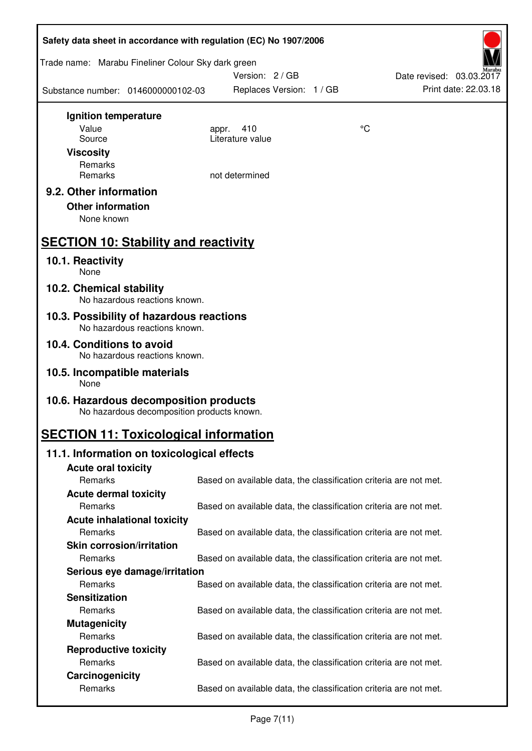| Safety data sheet in accordance with regulation (EC) No 1907/2006 |                                            |                                                                   |    |                          |  |
|-------------------------------------------------------------------|--------------------------------------------|-------------------------------------------------------------------|----|--------------------------|--|
| Trade name: Marabu Fineliner Colour Sky dark green                |                                            | Version: 2/GB                                                     |    | Date revised: 03.03.2017 |  |
| Substance number: 0146000000102-03                                |                                            | Replaces Version: 1 / GB                                          |    | Print date: 22.03.18     |  |
| Ignition temperature                                              |                                            |                                                                   |    |                          |  |
| Value                                                             |                                            | 410<br>appr.                                                      | °C |                          |  |
| Source                                                            |                                            | Literature value                                                  |    |                          |  |
| <b>Viscosity</b>                                                  |                                            |                                                                   |    |                          |  |
| Remarks                                                           |                                            |                                                                   |    |                          |  |
| Remarks                                                           |                                            | not determined                                                    |    |                          |  |
| 9.2. Other information                                            |                                            |                                                                   |    |                          |  |
| <b>Other information</b>                                          |                                            |                                                                   |    |                          |  |
| None known                                                        |                                            |                                                                   |    |                          |  |
| <b>SECTION 10: Stability and reactivity</b>                       |                                            |                                                                   |    |                          |  |
| 10.1. Reactivity<br>None                                          |                                            |                                                                   |    |                          |  |
| 10.2. Chemical stability                                          | No hazardous reactions known.              |                                                                   |    |                          |  |
| 10.3. Possibility of hazardous reactions                          |                                            |                                                                   |    |                          |  |
| 10.4. Conditions to avoid                                         | No hazardous reactions known.              |                                                                   |    |                          |  |
|                                                                   | No hazardous reactions known.              |                                                                   |    |                          |  |
| 10.5. Incompatible materials<br>None                              |                                            |                                                                   |    |                          |  |
| 10.6. Hazardous decomposition products                            | No hazardous decomposition products known. |                                                                   |    |                          |  |
| <b>SECTION 11: Toxicological information</b>                      |                                            |                                                                   |    |                          |  |
| 11.1. Information on toxicological effects                        |                                            |                                                                   |    |                          |  |
| <b>Acute oral toxicity</b>                                        |                                            |                                                                   |    |                          |  |
| Remarks                                                           |                                            | Based on available data, the classification criteria are not met. |    |                          |  |
| <b>Acute dermal toxicity</b>                                      |                                            |                                                                   |    |                          |  |
| Remarks                                                           |                                            | Based on available data, the classification criteria are not met. |    |                          |  |
| <b>Acute inhalational toxicity</b>                                |                                            |                                                                   |    |                          |  |
| Remarks                                                           |                                            | Based on available data, the classification criteria are not met. |    |                          |  |
| <b>Skin corrosion/irritation</b>                                  |                                            |                                                                   |    |                          |  |
| Remarks                                                           |                                            | Based on available data, the classification criteria are not met. |    |                          |  |
|                                                                   | Serious eye damage/irritation              |                                                                   |    |                          |  |
| Remarks                                                           |                                            | Based on available data, the classification criteria are not met. |    |                          |  |
| <b>Sensitization</b>                                              |                                            |                                                                   |    |                          |  |
| Remarks                                                           |                                            | Based on available data, the classification criteria are not met. |    |                          |  |
| <b>Mutagenicity</b>                                               |                                            |                                                                   |    |                          |  |
| Remarks                                                           |                                            | Based on available data, the classification criteria are not met. |    |                          |  |
| <b>Reproductive toxicity</b>                                      |                                            |                                                                   |    |                          |  |
| Remarks                                                           |                                            | Based on available data, the classification criteria are not met. |    |                          |  |
| Carcinogenicity                                                   |                                            |                                                                   |    |                          |  |
| Remarks                                                           |                                            | Based on available data, the classification criteria are not met. |    |                          |  |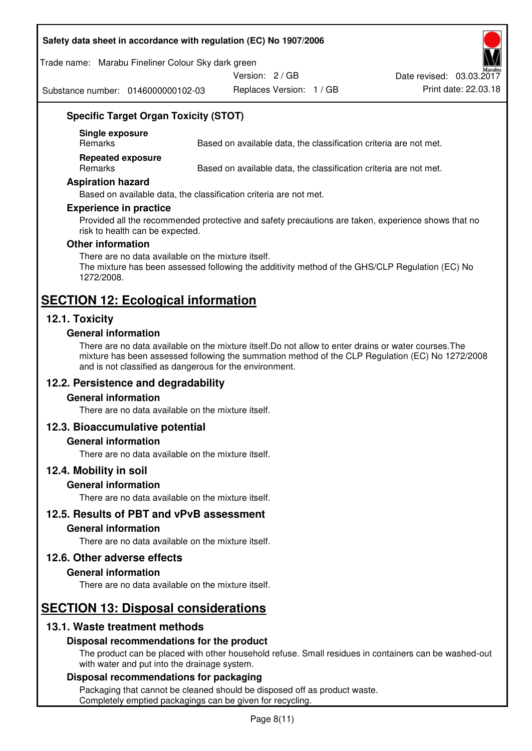#### **Safety data sheet in accordance with regulation (EC) No 1907/2006**

Trade name: Marabu Fineliner Colour Sky dark green

Version: 2 / GB

Substance number: 0146000000102-03

Replaces Version: 1 / GB Print date: 22.03.18 Date revised: 03.03.2017

## **Specific Target Organ Toxicity (STOT)**

**Single exposure** 

Based on available data, the classification criteria are not met.

**Repeated exposure** 

Remarks Based on available data, the classification criteria are not met.

#### **Aspiration hazard**

Based on available data, the classification criteria are not met.

#### **Experience in practice**

Provided all the recommended protective and safety precautions are taken, experience shows that no risk to health can be expected.

#### **Other information**

There are no data available on the mixture itself. The mixture has been assessed following the additivity method of the GHS/CLP Regulation (EC) No 1272/2008.

## **SECTION 12: Ecological information**

#### **12.1. Toxicity**

#### **General information**

There are no data available on the mixture itself.Do not allow to enter drains or water courses.The mixture has been assessed following the summation method of the CLP Regulation (EC) No 1272/2008 and is not classified as dangerous for the environment.

#### **12.2. Persistence and degradability**

#### **General information**

There are no data available on the mixture itself.

#### **12.3. Bioaccumulative potential**

#### **General information**

There are no data available on the mixture itself.

#### **12.4. Mobility in soil**

#### **General information**

There are no data available on the mixture itself.

**12.5. Results of PBT and vPvB assessment** 

#### **General information**

There are no data available on the mixture itself.

#### **12.6. Other adverse effects**

#### **General information**

There are no data available on the mixture itself.

# **SECTION 13: Disposal considerations**

#### **13.1. Waste treatment methods**

#### **Disposal recommendations for the product**

The product can be placed with other household refuse. Small residues in containers can be washed-out with water and put into the drainage system.

#### **Disposal recommendations for packaging**

Packaging that cannot be cleaned should be disposed off as product waste. Completely emptied packagings can be given for recycling.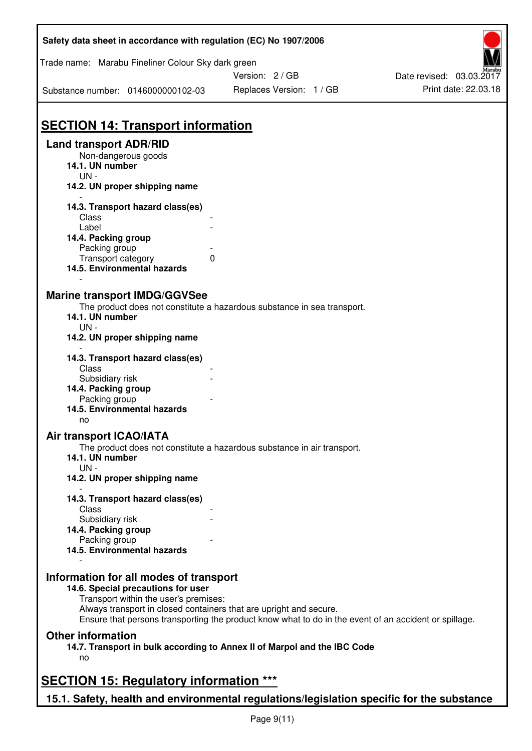| Safety data sheet in accordance with regulation (EC) No 1907/2006                         |                                                                                                       |                          |
|-------------------------------------------------------------------------------------------|-------------------------------------------------------------------------------------------------------|--------------------------|
| Trade name: Marabu Fineliner Colour Sky dark green                                        |                                                                                                       |                          |
|                                                                                           | Version: 2 / GB                                                                                       | Date revised: 03.03.2017 |
| Substance number: 0146000000102-03                                                        | Replaces Version: 1 / GB                                                                              | Print date: 22.03.18     |
| <b>SECTION 14: Transport information</b>                                                  |                                                                                                       |                          |
| <b>Land transport ADR/RID</b>                                                             |                                                                                                       |                          |
| Non-dangerous goods<br>14.1. UN number<br>$UN -$                                          |                                                                                                       |                          |
| 14.2. UN proper shipping name                                                             |                                                                                                       |                          |
| 14.3. Transport hazard class(es)<br><b>Class</b>                                          |                                                                                                       |                          |
| Label                                                                                     |                                                                                                       |                          |
| 14.4. Packing group                                                                       |                                                                                                       |                          |
| Packing group<br>Transport category                                                       | 0                                                                                                     |                          |
| 14.5. Environmental hazards                                                               |                                                                                                       |                          |
| <b>Marine transport IMDG/GGVSee</b><br>14.1. UN number<br>$UN -$                          | The product does not constitute a hazardous substance in sea transport.                               |                          |
| 14.2. UN proper shipping name                                                             |                                                                                                       |                          |
| 14.3. Transport hazard class(es)<br>Class                                                 |                                                                                                       |                          |
| Subsidiary risk                                                                           |                                                                                                       |                          |
| 14.4. Packing group<br>Packing group                                                      |                                                                                                       |                          |
| 14.5. Environmental hazards<br>no                                                         |                                                                                                       |                          |
| Air transport ICAO/IATA                                                                   |                                                                                                       |                          |
| 14.1. UN number                                                                           | The product does not constitute a hazardous substance in air transport.                               |                          |
| $UN -$<br>14.2. UN proper shipping name                                                   |                                                                                                       |                          |
| 14.3. Transport hazard class(es)<br>Class                                                 |                                                                                                       |                          |
| Subsidiary risk                                                                           |                                                                                                       |                          |
| 14.4. Packing group                                                                       |                                                                                                       |                          |
| Packing group                                                                             |                                                                                                       |                          |
| 14.5. Environmental hazards                                                               |                                                                                                       |                          |
| Information for all modes of transport<br>14.6. Special precautions for user              |                                                                                                       |                          |
| Transport within the user's premises:                                                     |                                                                                                       |                          |
| Always transport in closed containers that are upright and secure.                        | Ensure that persons transporting the product know what to do in the event of an accident or spillage. |                          |
| <b>Other information</b>                                                                  |                                                                                                       |                          |
| no                                                                                        | 14.7. Transport in bulk according to Annex II of Marpol and the IBC Code                              |                          |
| <b>SECTION 15: Regulatory information ***</b>                                             |                                                                                                       |                          |
| 15.1. Safety, health and environmental regulations/legislation specific for the substance |                                                                                                       |                          |

ī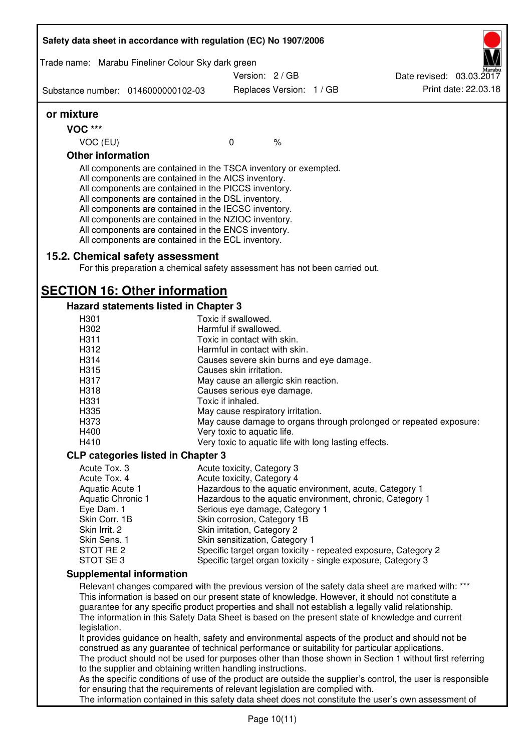|                          | Trade name: Marabu Fineliner Colour Sky dark green                                                                                                                                                                                                                                                                                                                                                                                                                |                                                              |                          |                                                                                                                                                                                                         |
|--------------------------|-------------------------------------------------------------------------------------------------------------------------------------------------------------------------------------------------------------------------------------------------------------------------------------------------------------------------------------------------------------------------------------------------------------------------------------------------------------------|--------------------------------------------------------------|--------------------------|---------------------------------------------------------------------------------------------------------------------------------------------------------------------------------------------------------|
|                          |                                                                                                                                                                                                                                                                                                                                                                                                                                                                   | Version: 2/GB                                                |                          | Date revised: 03.03.2017                                                                                                                                                                                |
|                          | Substance number: 0146000000102-03                                                                                                                                                                                                                                                                                                                                                                                                                                |                                                              | Replaces Version: 1 / GB | Print date: 22.03.18                                                                                                                                                                                    |
| or mixture               |                                                                                                                                                                                                                                                                                                                                                                                                                                                                   |                                                              |                          |                                                                                                                                                                                                         |
| <b>VOC ***</b>           |                                                                                                                                                                                                                                                                                                                                                                                                                                                                   |                                                              |                          |                                                                                                                                                                                                         |
| VOC (EU)                 |                                                                                                                                                                                                                                                                                                                                                                                                                                                                   | $\mathbf 0$                                                  | $\%$                     |                                                                                                                                                                                                         |
| <b>Other information</b> |                                                                                                                                                                                                                                                                                                                                                                                                                                                                   |                                                              |                          |                                                                                                                                                                                                         |
|                          | All components are contained in the TSCA inventory or exempted.<br>All components are contained in the AICS inventory.<br>All components are contained in the PICCS inventory.<br>All components are contained in the DSL inventory.<br>All components are contained in the IECSC inventory.<br>All components are contained in the NZIOC inventory.<br>All components are contained in the ENCS inventory.<br>All components are contained in the ECL inventory. |                                                              |                          |                                                                                                                                                                                                         |
|                          | 15.2. Chemical safety assessment                                                                                                                                                                                                                                                                                                                                                                                                                                  |                                                              |                          |                                                                                                                                                                                                         |
|                          | For this preparation a chemical safety assessment has not been carried out.                                                                                                                                                                                                                                                                                                                                                                                       |                                                              |                          |                                                                                                                                                                                                         |
|                          | <b>SECTION 16: Other information</b>                                                                                                                                                                                                                                                                                                                                                                                                                              |                                                              |                          |                                                                                                                                                                                                         |
|                          | Hazard statements listed in Chapter 3                                                                                                                                                                                                                                                                                                                                                                                                                             |                                                              |                          |                                                                                                                                                                                                         |
| H301                     |                                                                                                                                                                                                                                                                                                                                                                                                                                                                   | Toxic if swallowed.                                          |                          |                                                                                                                                                                                                         |
| H302                     |                                                                                                                                                                                                                                                                                                                                                                                                                                                                   | Harmful if swallowed.                                        |                          |                                                                                                                                                                                                         |
| H311<br>H312             |                                                                                                                                                                                                                                                                                                                                                                                                                                                                   | Toxic in contact with skin.<br>Harmful in contact with skin. |                          |                                                                                                                                                                                                         |
| H314                     |                                                                                                                                                                                                                                                                                                                                                                                                                                                                   | Causes severe skin burns and eye damage.                     |                          |                                                                                                                                                                                                         |
| H315                     |                                                                                                                                                                                                                                                                                                                                                                                                                                                                   | Causes skin irritation.                                      |                          |                                                                                                                                                                                                         |
| H317                     |                                                                                                                                                                                                                                                                                                                                                                                                                                                                   | May cause an allergic skin reaction.                         |                          |                                                                                                                                                                                                         |
| H318                     |                                                                                                                                                                                                                                                                                                                                                                                                                                                                   | Causes serious eye damage.                                   |                          |                                                                                                                                                                                                         |
| H331                     |                                                                                                                                                                                                                                                                                                                                                                                                                                                                   | Toxic if inhaled.                                            |                          |                                                                                                                                                                                                         |
| H335                     |                                                                                                                                                                                                                                                                                                                                                                                                                                                                   | May cause respiratory irritation.                            |                          |                                                                                                                                                                                                         |
| H373                     |                                                                                                                                                                                                                                                                                                                                                                                                                                                                   |                                                              |                          | May cause damage to organs through prolonged or repeated exposure:                                                                                                                                      |
| H400                     |                                                                                                                                                                                                                                                                                                                                                                                                                                                                   | Very toxic to aquatic life.                                  |                          |                                                                                                                                                                                                         |
| H410                     |                                                                                                                                                                                                                                                                                                                                                                                                                                                                   | Very toxic to aquatic life with long lasting effects.        |                          |                                                                                                                                                                                                         |
|                          | <b>CLP categories listed in Chapter 3</b>                                                                                                                                                                                                                                                                                                                                                                                                                         |                                                              |                          |                                                                                                                                                                                                         |
| Acute Tox. 3             |                                                                                                                                                                                                                                                                                                                                                                                                                                                                   |                                                              |                          |                                                                                                                                                                                                         |
| Acute Tox. 4             |                                                                                                                                                                                                                                                                                                                                                                                                                                                                   | Acute toxicity, Category 3<br>Acute toxicity, Category 4     |                          |                                                                                                                                                                                                         |
| Aquatic Acute 1          |                                                                                                                                                                                                                                                                                                                                                                                                                                                                   |                                                              |                          | Hazardous to the aquatic environment, acute, Category 1                                                                                                                                                 |
| Aquatic Chronic 1        |                                                                                                                                                                                                                                                                                                                                                                                                                                                                   |                                                              |                          | Hazardous to the aquatic environment, chronic, Category 1                                                                                                                                               |
| Eye Dam. 1               |                                                                                                                                                                                                                                                                                                                                                                                                                                                                   | Serious eye damage, Category 1                               |                          |                                                                                                                                                                                                         |
| Skin Corr. 1B            |                                                                                                                                                                                                                                                                                                                                                                                                                                                                   | Skin corrosion, Category 1B                                  |                          |                                                                                                                                                                                                         |
| Skin Irrit. 2            |                                                                                                                                                                                                                                                                                                                                                                                                                                                                   | Skin irritation, Category 2                                  |                          |                                                                                                                                                                                                         |
| Skin Sens. 1             |                                                                                                                                                                                                                                                                                                                                                                                                                                                                   | Skin sensitization, Category 1                               |                          |                                                                                                                                                                                                         |
| STOT RE 2                |                                                                                                                                                                                                                                                                                                                                                                                                                                                                   |                                                              |                          | Specific target organ toxicity - repeated exposure, Category 2                                                                                                                                          |
| STOT SE3                 |                                                                                                                                                                                                                                                                                                                                                                                                                                                                   |                                                              |                          | Specific target organ toxicity - single exposure, Category 3                                                                                                                                            |
|                          | <b>Supplemental information</b>                                                                                                                                                                                                                                                                                                                                                                                                                                   |                                                              |                          |                                                                                                                                                                                                         |
|                          |                                                                                                                                                                                                                                                                                                                                                                                                                                                                   |                                                              |                          | Relevant changes compared with the previous version of the safety data sheet are marked with: ***                                                                                                       |
|                          |                                                                                                                                                                                                                                                                                                                                                                                                                                                                   |                                                              |                          | This information is based on our present state of knowledge. However, it should not constitute a                                                                                                        |
|                          |                                                                                                                                                                                                                                                                                                                                                                                                                                                                   |                                                              |                          | guarantee for any specific product properties and shall not establish a legally valid relationship.<br>The information in this Safety Data Sheet is based on the present state of knowledge and current |
| legislation.             |                                                                                                                                                                                                                                                                                                                                                                                                                                                                   |                                                              |                          | It provides guidance on health, safety and environmental aspects of the product and should not be                                                                                                       |
|                          | construed as any guarantee of technical performance or suitability for particular applications.                                                                                                                                                                                                                                                                                                                                                                   |                                                              |                          |                                                                                                                                                                                                         |
|                          |                                                                                                                                                                                                                                                                                                                                                                                                                                                                   |                                                              |                          | The product should not be used for purposes other than those shown in Section 1 without first referring                                                                                                 |
|                          | to the supplier and obtaining written handling instructions.                                                                                                                                                                                                                                                                                                                                                                                                      |                                                              |                          |                                                                                                                                                                                                         |
|                          |                                                                                                                                                                                                                                                                                                                                                                                                                                                                   |                                                              |                          | As the specific conditions of use of the product are outside the supplier's control, the user is responsible                                                                                            |
|                          | for ensuring that the requirements of relevant legislation are complied with.                                                                                                                                                                                                                                                                                                                                                                                     |                                                              |                          |                                                                                                                                                                                                         |
|                          |                                                                                                                                                                                                                                                                                                                                                                                                                                                                   |                                                              |                          | The information contained in this safety data sheet does not constitute the user's own assessment of                                                                                                    |